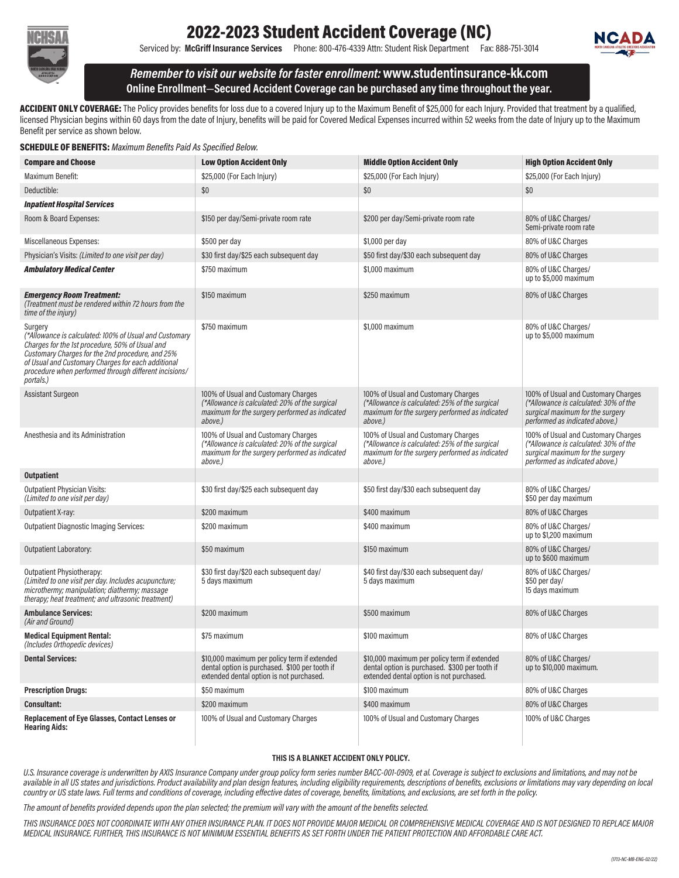

## 2022-2023 Student Accident Coverage (NC)

Serviced by: McGriff Insurance Services Phone: 800-476-4339 Attn: Student Risk Department Fax: 888-751-3014



Remember to visit our website for faster enrollment:www.studentinsurance-kk.com Online Enrollment—Secured Accident Coverage can be purchased any time throughout the year.

ACCIDENT ONLY COVERAGE: The Policy provides benefits for loss due to a covered Injury up to the Maximum Benefit of \$25,000 for each Injury. Provided that treatment by a qualified, licensed Physician begins within 60 days from the date of Injury, benefits will be paid for Covered Medical Expenses incurred within 52 weeks from the date of Injury up to the Maximum Benefit per service as shown below.

| <b>SCHEDULE OF BENEFITS:</b> Maximum Benefits Paid As Specified Below. |  |  |  |
|------------------------------------------------------------------------|--|--|--|
|                                                                        |  |  |  |

| <b>Compare and Choose</b>                                                                                                                                                                                                                                                                            | <b>Low Option Accident Only</b>                                                                                                                    | <b>Middle Option Accident Only</b>                                                                                                                 | <b>High Option Accident Only</b>                                                                                                                   |
|------------------------------------------------------------------------------------------------------------------------------------------------------------------------------------------------------------------------------------------------------------------------------------------------------|----------------------------------------------------------------------------------------------------------------------------------------------------|----------------------------------------------------------------------------------------------------------------------------------------------------|----------------------------------------------------------------------------------------------------------------------------------------------------|
| Maximum Benefit:                                                                                                                                                                                                                                                                                     | \$25,000 (For Each Injury)                                                                                                                         | \$25,000 (For Each Injury)                                                                                                                         | \$25,000 (For Each Injury)                                                                                                                         |
| Deductible:                                                                                                                                                                                                                                                                                          | \$0                                                                                                                                                | \$0                                                                                                                                                | \$0                                                                                                                                                |
| <b>Inpatient Hospital Services</b>                                                                                                                                                                                                                                                                   |                                                                                                                                                    |                                                                                                                                                    |                                                                                                                                                    |
| Room & Board Expenses:                                                                                                                                                                                                                                                                               | \$150 per day/Semi-private room rate                                                                                                               | \$200 per day/Semi-private room rate                                                                                                               | 80% of U&C Charges/<br>Semi-private room rate                                                                                                      |
| Miscellaneous Expenses:                                                                                                                                                                                                                                                                              | \$500 per day                                                                                                                                      | \$1,000 per day                                                                                                                                    | 80% of U&C Charges                                                                                                                                 |
| Physician's Visits: (Limited to one visit per day)                                                                                                                                                                                                                                                   | \$30 first day/\$25 each subsequent day                                                                                                            | \$50 first day/\$30 each subsequent day                                                                                                            | 80% of U&C Charges                                                                                                                                 |
| <b>Ambulatory Medical Center</b>                                                                                                                                                                                                                                                                     | \$750 maximum                                                                                                                                      | \$1,000 maximum                                                                                                                                    | 80% of U&C Charges/<br>up to \$5,000 maximum                                                                                                       |
| <b>Emergency Room Treatment:</b><br>(Treatment must be rendered within 72 hours from the<br>time of the injury)                                                                                                                                                                                      | \$150 maximum                                                                                                                                      | \$250 maximum                                                                                                                                      | 80% of U&C Charges                                                                                                                                 |
| Surgery<br>(*Allowance is calculated: 100% of Usual and Customary<br>Charges for the 1st procedure, 50% of Usual and<br>Customary Charges for the 2nd procedure, and 25%<br>of Usual and Customary Charges for each additional<br>procedure when performed through different incisions/<br>portals.) | \$750 maximum                                                                                                                                      | \$1,000 maximum                                                                                                                                    | 80% of U&C Charges/<br>up to \$5,000 maximum                                                                                                       |
| <b>Assistant Surgeon</b>                                                                                                                                                                                                                                                                             | 100% of Usual and Customary Charges<br>(*Allowance is calculated: 20% of the surgical<br>maximum for the surgery performed as indicated<br>above.) | 100% of Usual and Customary Charges<br>(*Allowance is calculated: 25% of the surgical<br>maximum for the surgery performed as indicated<br>above.) | 100% of Usual and Customary Charges<br>(*Allowance is calculated: 30% of the<br>surgical maximum for the surgery<br>performed as indicated above.) |
| Anesthesia and its Administration                                                                                                                                                                                                                                                                    | 100% of Usual and Customary Charges<br>(*Allowance is calculated: 20% of the surgical<br>maximum for the surgery performed as indicated<br>above.) | 100% of Usual and Customary Charges<br>(*Allowance is calculated: 25% of the surgical<br>maximum for the surgery performed as indicated<br>above.) | 100% of Usual and Customary Charges<br>(*Allowance is calculated: 30% of the<br>surgical maximum for the surgery<br>performed as indicated above.) |
| <b>Outpatient</b>                                                                                                                                                                                                                                                                                    |                                                                                                                                                    |                                                                                                                                                    |                                                                                                                                                    |
| <b>Outpatient Physician Visits:</b><br>(Limited to one visit per day)                                                                                                                                                                                                                                | \$30 first day/\$25 each subsequent day                                                                                                            | \$50 first day/\$30 each subsequent day                                                                                                            | 80% of U&C Charges/<br>\$50 per day maximum                                                                                                        |
| Outpatient X-ray:                                                                                                                                                                                                                                                                                    | \$200 maximum                                                                                                                                      | \$400 maximum                                                                                                                                      | 80% of U&C Charges                                                                                                                                 |
| <b>Outpatient Diagnostic Imaging Services:</b>                                                                                                                                                                                                                                                       | \$200 maximum                                                                                                                                      | \$400 maximum                                                                                                                                      | 80% of U&C Charges/<br>up to \$1,200 maximum                                                                                                       |
| <b>Outpatient Laboratory:</b>                                                                                                                                                                                                                                                                        | \$50 maximum                                                                                                                                       | \$150 maximum                                                                                                                                      | 80% of U&C Charges/<br>up to \$600 maximum                                                                                                         |
| Outpatient Physiotherapy:<br>(Limited to one visit per day. Includes acupuncture;<br>microthermy; manipulation; diathermy; massage<br>therapy; heat treatment; and ultrasonic treatment)                                                                                                             | \$30 first day/\$20 each subsequent day/<br>5 days maximum                                                                                         | \$40 first day/\$30 each subsequent day/<br>5 days maximum                                                                                         | 80% of U&C Charges/<br>\$50 per day/<br>15 days maximum                                                                                            |
| <b>Ambulance Services:</b><br>(Air and Ground)                                                                                                                                                                                                                                                       | \$200 maximum                                                                                                                                      | \$500 maximum                                                                                                                                      | 80% of U&C Charges                                                                                                                                 |
| <b>Medical Equipment Rental:</b><br>(Includes Orthopedic devices)                                                                                                                                                                                                                                    | \$75 maximum                                                                                                                                       | \$100 maximum                                                                                                                                      | 80% of U&C Charges                                                                                                                                 |
| <b>Dental Services:</b>                                                                                                                                                                                                                                                                              | \$10,000 maximum per policy term if extended<br>dental option is purchased. \$100 per tooth if<br>extended dental option is not purchased.         | \$10,000 maximum per policy term if extended<br>dental option is purchased. \$300 per tooth if<br>extended dental option is not purchased.         | 80% of U&C Charges/<br>up to \$10,000 maximum.                                                                                                     |
| <b>Prescription Drugs:</b>                                                                                                                                                                                                                                                                           | \$50 maximum                                                                                                                                       | \$100 maximum                                                                                                                                      | 80% of U&C Charges                                                                                                                                 |
| Consultant:                                                                                                                                                                                                                                                                                          | \$200 maximum                                                                                                                                      | \$400 maximum                                                                                                                                      | 80% of U&C Charges                                                                                                                                 |
| Replacement of Eye Glasses, Contact Lenses or<br><b>Hearing Aids:</b>                                                                                                                                                                                                                                | 100% of Usual and Customary Charges                                                                                                                | 100% of Usual and Customary Charges                                                                                                                | 100% of U&C Charges                                                                                                                                |

#### THIS IS A BLANKET ACCIDENT ONLY POLICY.

U.S. Insurance coverage is underwritten by AXIS Insurance Company under group policy form series number BACC-001-0909, et al. Coverage is subject to exclusions and limitations, and may not be available in all US states and jurisdictions. Product availability and plan design features, including eligibility requirements, descriptions of benefits, exclusions or limitations may vary depending on local country or US state laws. Full terms and conditions of coverage, including effective dates of coverage, benefits, limitations, and exclusions, are set forth in the policy.

The amount of benefits provided depends upon the plan selected; the premium will vary with the amount of the benefits selected.

THIS INSURANCE DOES NOT COORDINATE WITH ANY OTHER INSURANCE PLAN. IT DOES NOT PROVIDE MAJOR MEDICAL OR COMPREHENSIVE MEDICAL COVERAGE AND IS NOT DESIGNED TO REPLACE MAJOR MEDICAL INSURANCE. FURTHER, THIS INSURANCE IS NOT MINIMUM ESSENTIAL BENEFITS AS SET FORTH UNDER THE PATIENT PROTECTION AND AFFORDABLE CARE ACT.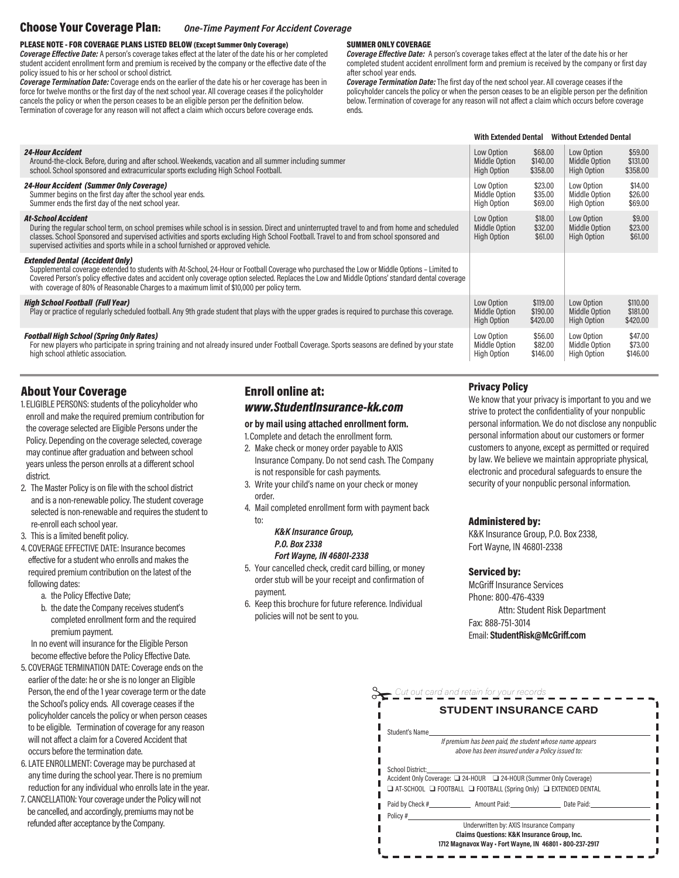#### Choose Your Coverage Plan: One-Time Payment For Accident Coverage

#### PLEASE NOTE - FOR COVERAGE PLANS LISTED BELOW (Except Summer Only Coverage)

Coverage Effective Date: A person's coverage takes effect at the later of the date his or her completed student accident enrollment form and premium is received by the company or the effective date of the policy issued to his or her school or school district.

Coverage Termination Date: Coverage ends on the earlier of the date his or her coverage has been in force for twelve months or the first day of the next school year. All coverage ceases if the policyholder cancels the policy or when the person ceases to be an eligible person per the definition below. Termination of coverage for any reason will not affect a claim which occurs before coverage ends.

#### SUMMER ONLY COVERAGE

Coverage Effective Date: A person's coverage takes effect at the later of the date his or her completed student accident enrollment form and premium is received by the company or first day after school year ends.

Coverage Termination Date: The first day of the next school year. All coverage ceases if the policyholder cancels the policy or when the person ceases to be an eligible person per the definition below. Termination of coverage for any reason will not affect a claim which occurs before coverage ends.

|                                                                                                                                                                                                                                                                                                                                                                                                                                           | <b>With Extended Dental</b>                       |                                  | <b>Without Extended Dental</b>             |                                  |
|-------------------------------------------------------------------------------------------------------------------------------------------------------------------------------------------------------------------------------------------------------------------------------------------------------------------------------------------------------------------------------------------------------------------------------------------|---------------------------------------------------|----------------------------------|--------------------------------------------|----------------------------------|
| <b>24-Hour Accident</b><br>Around-the-clock. Before, during and after school. Weekends, vacation and all summer including summer<br>school. School sponsored and extracurricular sports excluding High School Football.                                                                                                                                                                                                                   | Low Option<br><b>Middle Option</b><br>High Option | \$68.00<br>\$140.00<br>\$358.00  | Low Option<br>Middle Option<br>High Option | \$59.00<br>\$131,00<br>\$358.00  |
| <b>24-Hour Accident (Summer Only Coverage)</b><br>Summer begins on the first day after the school year ends.<br>Summer ends the first day of the next school year.                                                                                                                                                                                                                                                                        | Low Option<br>Middle Option<br>High Option        | \$23.00<br>\$35.00<br>\$69.00    | Low Option<br>Middle Option<br>High Option | \$14.00<br>\$26.00<br>\$69.00    |
| <b>At-School Accident</b><br>During the regular school term, on school premises while school is in session. Direct and uninterrupted travel to and from home and scheduled<br>classes. School Sponsored and supervised activities and sports excluding High School Football. Travel to and from school sponsored and<br>supervised activities and sports while in a school furnished or approved vehicle.                                 | Low Option<br><b>Middle Option</b><br>High Option | \$18.00<br>\$32.00<br>\$61.00    | Low Option<br>Middle Option<br>High Option | \$9.00<br>\$23.00<br>\$61.00     |
| <b>Extended Dental (Accident Only)</b><br>Supplemental coverage extended to students with At-School, 24-Hour or Football Coverage who purchased the Low or Middle Options – Limited to<br>Covered Person's policy effective dates and accident only coverage option selected. Replaces the Low and Middle Options' standard dental coverage<br>with coverage of 80% of Reasonable Charges to a maximum limit of \$10,000 per policy term. |                                                   |                                  |                                            |                                  |
| <b>High School Football (Full Year)</b><br>Play or practice of regularly scheduled football. Any 9th grade student that plays with the upper grades is reguired to purchase this coverage.                                                                                                                                                                                                                                                | Low Option<br><b>Middle Option</b><br>High Option | \$119,00<br>\$190.00<br>\$420.00 | Low Option<br>Middle Option<br>High Option | \$110,00<br>\$181.00<br>\$420.00 |
| <b>Football High School (Spring Only Rates)</b><br>For new players who participate in spring training and not already insured under Football Coverage. Sports seasons are defined by your state<br>high school athletic association.                                                                                                                                                                                                      | Low Option<br>Middle Option<br>High Option        | \$56.00<br>\$82.00<br>\$146.00   | Low Option<br>Middle Option<br>High Option | \$47.00<br>\$73.00<br>\$146.00   |

### About Your Coverage

- 1. ELIGIBLE PERSONS: students of the policyholder who enroll and make the required premium contribution for the coverage selected are Eligible Persons under the Policy. Depending on the coverage selected, coverage may continue after graduation and between school years unless the person enrolls at a different school district.
- 2. The Master Policy is on file with the school district and is a non-renewable policy. The student coverage selected is non-renewable and requires the student to re-enroll each school year.
- 3. This is a limited benefit policy.
- 4. COVERAGE EFFECTIVE DATE: Insurance becomes effective for a student who enrolls and makes the required premium contribution on the latest of the following dates:
	- a. the Policy Effective Date;
	- b. the date the Company receives student's completed enrollment form and the required premium payment.

 In no event will insurance for the Eligible Person become effective before the Policy Effective Date.

- 5. COVERAGE TERMINATION DATE: Coverage ends on the earlier of the date: he or she is no longer an Eligible Person, the end of the 1 year coverage term or the date the School's policy ends. All coverage ceases if the policyholder cancels the policy or when person ceases to be eligible. Termination of coverage for any reason will not affect a claim for a Covered Accident that occurs before the termination date.
- 6. LATE ENROLLMENT: Coverage may be purchased at any time during the school year. There is no premium reduction for any individual who enrolls late in the year.
- 7. CANCELLATION: Your coverage under the Policy will not be cancelled, and accordingly, premiums may not be refunded after acceptance by the Company.

## Enroll online at: www.StudentInsurance-kk.com

#### or by mail using attached enrollment form.

- 1.Complete and detach the enrollment form.
- 2. Make check or money order payable to AXIS Insurance Company. Do not send cash. The Company is not responsible for cash payments.
- 3. Write your child's name on your check or money order.
- 4. Mail completed enrollment form with payment back to:

#### K&K Insurance Group, P.O. Box 2338 Fort Wayne, IN 46801-2338

- 5. Your cancelled check, credit card billing, or money order stub will be your receipt and confirmation of payment.
- 6. Keep this brochure for future reference. Individual policies will not be sent to you.

#### Privacy Policy

We know that your privacy is important to you and we strive to protect the confidentiality of your nonpublic personal information. We do not disclose any nonpublic personal information about our customers or former customers to anyone, except as permitted or required by law. We believe we maintain appropriate physical, electronic and procedural safeguards to ensure the security of your nonpublic personal information.

#### Administered by:

K&K Insurance Group, P.O. Box 2338, Fort Wayne, IN 46801-2338

#### Serviced by:

McGriff Insurance Services Phone: 800-476-4339 Attn: Student Risk Department Fax: 888-751-3014 Email: StudentRisk@McGriff.com

|                  | <b>STUDENT INSURANCE CARD</b>                                                                                                                           |  |
|------------------|---------------------------------------------------------------------------------------------------------------------------------------------------------|--|
| Student's Name   |                                                                                                                                                         |  |
|                  | If premium has been paid, the student whose name appears<br>above has been insured under a Policy issued to:                                            |  |
| School District: | Accident Only Coverage: 24-HOUR 24-HOUR (Summer Only Coverage)<br>$\Box$ AT-SCHOOL $\Box$ FOOTBALL $\Box$ FOOTBALL (Spring Only) $\Box$ EXTENDED DENTAL |  |
|                  | Paid by Check # Amount Paid: Date Paid:                                                                                                                 |  |
| Policy #         |                                                                                                                                                         |  |
|                  | Underwritten by: AXIS Insurance Company                                                                                                                 |  |
|                  | Claims Questions: K&K Insurance Group, Inc.                                                                                                             |  |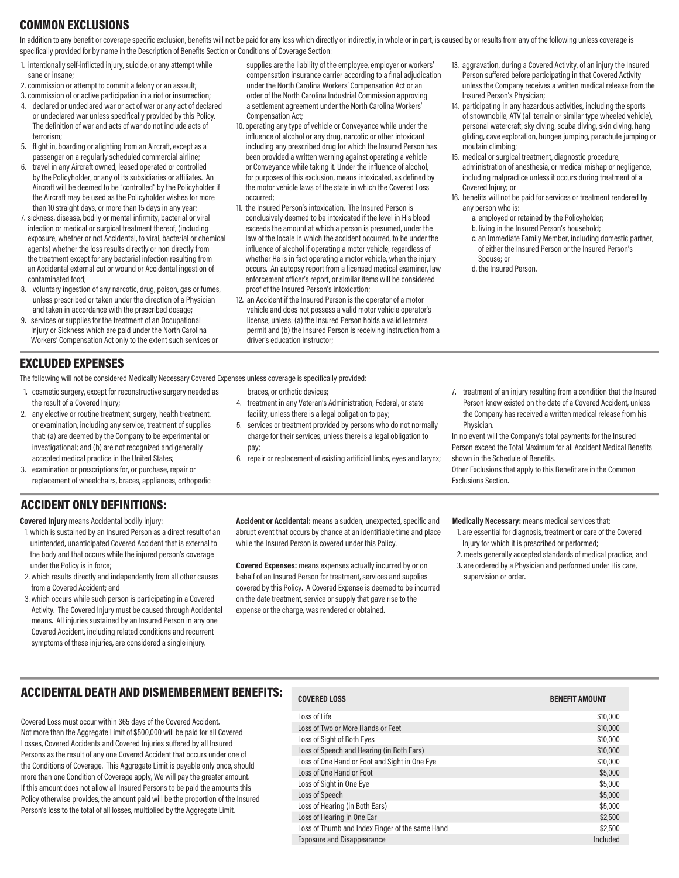### COMMON EXCLUSIONS

In addition to any benefit or coverage specific exclusion, benefits will not be paid for any loss which directly or indirectly, in whole or in part, is caused by or results from any of the following unless coverage is specifically provided for by name in the Description of Benefits Section or Conditions of Coverage Section:

- 1. intentionally self-inflicted injury, suicide, or any attempt while sane or insane;
- 2. commission or attempt to commit a felony or an assault;
- 3. commission of or active participation in a riot or insurrection;
- 4. declared or undeclared war or act of war or any act of declared or undeclared war unless specifically provided by this Policy. The definition of war and acts of war do not include acts of terrorism;
- 5. flight in, boarding or alighting from an Aircraft, except as a passenger on a regularly scheduled commercial airline;
- 6. travel in any Aircraft owned, leased operated or controlled by the Policyholder, or any of its subsidiaries or affiliates. An Aircraft will be deemed to be "controlled" by the Policyholder if the Aircraft may be used as the Policyholder wishes for more than 10 straight days, or more than 15 days in any year;
- 7. sickness, disease, bodily or mental infirmity, bacterial or viral infection or medical or surgical treatment thereof, (including exposure, whether or not Accidental, to viral, bacterial or chemical agents) whether the loss results directly or non directly from the treatment except for any bacterial infection resulting from an Accidental external cut or wound or Accidental ingestion of contaminated food;
- 8. voluntary ingestion of any narcotic, drug, poison, gas or fumes, unless prescribed or taken under the direction of a Physician and taken in accordance with the prescribed dosage;
- 9. services or supplies for the treatment of an Occupational Injury or Sickness which are paid under the North Carolina Workers' Compensation Act only to the extent such services or

### EXCLUDED EXPENSES

The following will not be considered Medically Necessary Covered Expenses unless coverage is specifically provided:

- 1. cosmetic surgery, except for reconstructive surgery needed as the result of a Covered Injury;
- 2. any elective or routine treatment, surgery, health treatment, or examination, including any service, treatment of supplies that: (a) are deemed by the Company to be experimental or investigational; and (b) are not recognized and generally accepted medical practice in the United States;
- 3. examination or prescriptions for, or purchase, repair or replacement of wheelchairs, braces, appliances, orthopedic

## ACCIDENT ONLY DEFINITIONS:

Covered Injury means Accidental bodily injury:

- 1. which is sustained by an Insured Person as a direct result of an unintended, unanticipated Covered Accident that is external to the body and that occurs while the injured person's coverage under the Policy is in force;
- 2. which results directly and independently from all other causes from a Covered Accident; and
- 3. which occurs while such person is participating in a Covered Activity. The Covered Injury must be caused through Accidental means. All injuries sustained by an Insured Person in any one Covered Accident, including related conditions and recurrent symptoms of these injuries, are considered a single injury.
- supplies are the liability of the employee, employer or workers' compensation insurance carrier according to a final adjudication under the North Carolina Workers' Compensation Act or an order of the North Carolina Industrial Commission approving a settlement agreement under the North Carolina Workers' Compensation Act;
- 10. operating any type of vehicle or Conveyance while under the influence of alcohol or any drug, narcotic or other intoxicant including any prescribed drug for which the Insured Person has been provided a written warning against operating a vehicle or Conveyance while taking it. Under the influence of alcohol, for purposes of this exclusion, means intoxicated, as defined by the motor vehicle laws of the state in which the Covered Loss occurred;
- 11. the Insured Person's intoxication. The Insured Person is conclusively deemed to be intoxicated if the level in His blood exceeds the amount at which a person is presumed, under the law of the locale in which the accident occurred, to be under the influence of alcohol if operating a motor vehicle, regardless of whether He is in fact operating a motor vehicle, when the injury occurs. An autopsy report from a licensed medical examiner, law enforcement officer's report, or similar items will be considered proof of the Insured Person's intoxication;
- 12. an Accident if the Insured Person is the operator of a motor vehicle and does not possess a valid motor vehicle operator's license, unless: (a) the Insured Person holds a valid learners permit and (b) the Insured Person is receiving instruction from a driver's education instructor;
- 13. aggravation, during a Covered Activity, of an injury the Insured Person suffered before participating in that Covered Activity unless the Company receives a written medical release from the Insured Person's Physician;
- 14. participating in any hazardous activities, including the sports of snowmobile, ATV (all terrain or similar type wheeled vehicle), personal watercraft, sky diving, scuba diving, skin diving, hang gliding, cave exploration, bungee jumping, parachute jumping or moutain climbing;
- 15. medical or surgical treatment, diagnostic procedure, administration of anesthesia, or medical mishap or negligence, including malpractice unless it occurs during treatment of a Covered Injury; or
- 16. benefits will not be paid for services or treatment rendered by any person who is:
	- a. employed or retained by the Policyholder;
	- b. living in the Insured Person's household;
	- c. an Immediate Family Member, including domestic partner, of either the Insured Person or the Insured Person's Spouse; or
	- d. the Insured Person.

- braces, or orthotic devices;
- 4. treatment in any Veteran's Administration, Federal, or state facility, unless there is a legal obligation to pay;
- 5. services or treatment provided by persons who do not normally charge for their services, unless there is a legal obligation to pay;
- 6. repair or replacement of existing artificial limbs, eyes and larynx;
- 7. treatment of an injury resulting from a condition that the Insured Person knew existed on the date of a Covered Accident, unless the Company has received a written medical release from his Physician.

In no event will the Company's total payments for the Insured Person exceed the Total Maximum for all Accident Medical Benefits shown in the Schedule of Benefits.

Other Exclusions that apply to this Benefit are in the Common Exclusions Section.

Accident or Accidental: means a sudden, unexpected, specific and abrupt event that occurs by chance at an identifiable time and place while the Insured Person is covered under this Policy.

Covered Expenses: means expenses actually incurred by or on behalf of an Insured Person for treatment, services and supplies covered by this Policy. A Covered Expense is deemed to be incurred on the date treatment, service or supply that gave rise to the expense or the charge, was rendered or obtained.

Medically Necessary: means medical services that:

- 1. are essential for diagnosis, treatment or care of the Covered Injury for which it is prescribed or performed;
- 2. meets generally accepted standards of medical practice; and
- 3. are ordered by a Physician and performed under His care, supervision or order.

## ACCIDENTAL DEATH AND DISMEMBERMENT BENEFITS:

Covered Loss must occur within 365 days of the Covered Accident. Not more than the Aggregate Limit of \$500,000 will be paid for all Covered Losses, Covered Accidents and Covered Injuries suffered by all Insured Persons as the result of any one Covered Accident that occurs under one of the Conditions of Coverage. This Aggregate Limit is payable only once, should more than one Condition of Coverage apply, We will pay the greater amount. If this amount does not allow all Insured Persons to be paid the amounts this Policy otherwise provides, the amount paid will be the proportion of the Insured Person's loss to the total of all losses, multiplied by the Aggregate Limit.

## COVERED LOSS BENEFIT AMOUNT

| ,,,,,,,,,,,,,,                                  | ,,,,,,,,,,,,,,,,,, |
|-------------------------------------------------|--------------------|
| Loss of Life                                    | \$10,000           |
| Loss of Two or More Hands or Feet               | \$10,000           |
| Loss of Sight of Both Eyes                      | \$10,000           |
| Loss of Speech and Hearing (in Both Ears)       | \$10,000           |
| Loss of One Hand or Foot and Sight in One Eye   | \$10,000           |
| Loss of One Hand or Foot                        | \$5,000            |
| Loss of Sight in One Eye                        | \$5,000            |
| Loss of Speech                                  | \$5,000            |
| Loss of Hearing (in Both Ears)                  | \$5,000            |
| Loss of Hearing in One Ear                      | \$2,500            |
| Loss of Thumb and Index Finger of the same Hand | \$2,500            |
| <b>Exposure and Disappearance</b>               | Included           |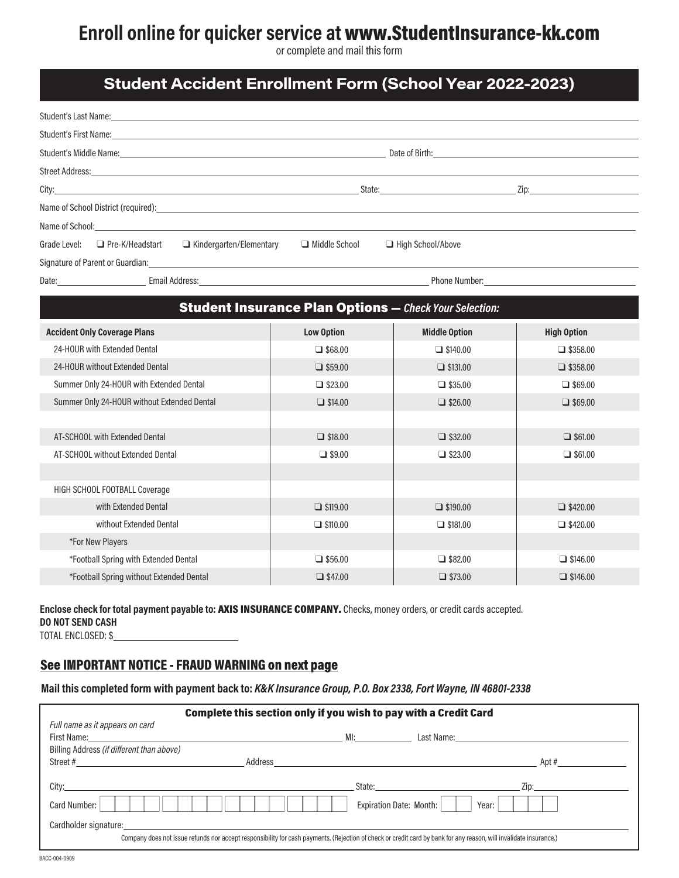# Enroll online for quicker service at www.StudentInsurance-kk.com

or complete and mail this form

## Student Accident Enrollment Form (School Year 2022-2023)

| Student's Last Name: Name and Student's Last Name:                                                                                                                                                                             |                                                               |                      |                    |
|--------------------------------------------------------------------------------------------------------------------------------------------------------------------------------------------------------------------------------|---------------------------------------------------------------|----------------------|--------------------|
|                                                                                                                                                                                                                                |                                                               |                      |                    |
|                                                                                                                                                                                                                                |                                                               |                      |                    |
|                                                                                                                                                                                                                                |                                                               |                      |                    |
|                                                                                                                                                                                                                                |                                                               |                      |                    |
| Name of School District (required): 100 million and 200 million and 200 million and 200 million and 200 million                                                                                                                |                                                               |                      |                    |
| Name of School: The contract of the contract of the contract of the contract of the contract of the contract of the contract of the contract of the contract of the contract of the contract of the contract of the contract o |                                                               |                      |                    |
| $\Box$ Kindergarten/Elementary<br>Grade Level:<br>Pre-K/Headstart                                                                                                                                                              | Middle School                                                 | High School/Above    |                    |
| Signature of Parent or Guardian: North American Communication of the Communication of the Communication of the                                                                                                                 |                                                               |                      |                    |
|                                                                                                                                                                                                                                |                                                               |                      |                    |
|                                                                                                                                                                                                                                |                                                               |                      |                    |
|                                                                                                                                                                                                                                | <b>Student Insurance Plan Options - Check Your Selection:</b> |                      |                    |
| <b>Accident Only Coverage Plans</b>                                                                                                                                                                                            | <b>Low Option</b>                                             | <b>Middle Option</b> | <b>High Option</b> |
| 24-HOUR with Extended Dental                                                                                                                                                                                                   | $\Box$ \$68.00                                                | $\Box$ \$140.00      | $\Box$ \$358.00    |
| 24-HOUR without Extended Dental                                                                                                                                                                                                | $\Box$ \$59.00                                                | $\Box$ \$131.00      | $\Box$ \$358.00    |
| Summer Only 24-HOUR with Extended Dental                                                                                                                                                                                       | $\Box$ \$23.00                                                | $\Box$ \$35.00       | $\Box$ \$69.00     |
| Summer Only 24-HOUR without Extended Dental                                                                                                                                                                                    | $\Box$ \$14.00                                                | $\Box$ \$26.00       | $\Box$ \$69.00     |
|                                                                                                                                                                                                                                |                                                               |                      |                    |
| AT-SCHOOL with Extended Dental                                                                                                                                                                                                 | $\Box$ \$18.00                                                | $\Box$ \$32.00       | $\Box$ \$61.00     |
| AT-SCHOOL without Extended Dental                                                                                                                                                                                              | $\Box$ \$9.00                                                 | $\Box$ \$23.00       | $\Box$ \$61.00     |
|                                                                                                                                                                                                                                |                                                               |                      |                    |
| HIGH SCHOOL FOOTBALL Coverage                                                                                                                                                                                                  |                                                               |                      |                    |
| with Extended Dental                                                                                                                                                                                                           | $\Box$ \$119.00                                               | $\Box$ \$190.00      | $\Box$ \$420.00    |
| without Extended Dental                                                                                                                                                                                                        | $\Box$ \$110.00                                               | $\Box$ \$181.00      | $\Box$ \$420.00    |
| *For New Players                                                                                                                                                                                                               |                                                               |                      |                    |
| *Football Spring with Extended Dental                                                                                                                                                                                          | $\Box$ \$56.00                                                | $\Box$ \$82.00       | $\Box$ \$146.00    |
| *Football Spring without Extended Dental                                                                                                                                                                                       | $\Box$ \$47.00                                                | $\Box$ \$73.00       | $\Box$ \$146.00    |

## Enclose check for total payment payable to: AXIS INSURANCE COMPANY. Checks, money orders, or credit cards accepted. DO NOT SEND CASH

TOTAL ENCLOSED: \$

## See IMPORTANT NOTICE - FRAUD WARNING on next page

### Mail this completed form with payment back to: K&K Insurance Group, P.O. Box 2338, Fort Wayne, IN 46801-2338

|                                                                                   | Complete this section only if you wish to pay with a Credit Card                                                                                                                                                                       |
|-----------------------------------------------------------------------------------|----------------------------------------------------------------------------------------------------------------------------------------------------------------------------------------------------------------------------------------|
| Full name as it appears on card                                                   |                                                                                                                                                                                                                                        |
|                                                                                   |                                                                                                                                                                                                                                        |
| Billing Address (if different than above)                                         |                                                                                                                                                                                                                                        |
| Address                                                                           | Apt #<br><u> 1980 - Jan James James James James James James James James James James James James James James James James J</u>                                                                                                          |
|                                                                                   |                                                                                                                                                                                                                                        |
| City:                                                                             | State: the contract of the contract of the contract of the contract of the contract of the contract of the contract of the contract of the contract of the contract of the contract of the contract of the contract of the con<br>Zip: |
| Card Number:                                                                      | Expiration Date: Month:<br>Year:                                                                                                                                                                                                       |
| Cardholder signature:<br><u> 1989 - John Stone, amerikansk politiker (* 1989)</u> |                                                                                                                                                                                                                                        |
|                                                                                   | Company does not issue refunds nor accept responsibility for cash payments. (Rejection of check or credit card by bank for any reason, will invalidate insurance.)                                                                     |